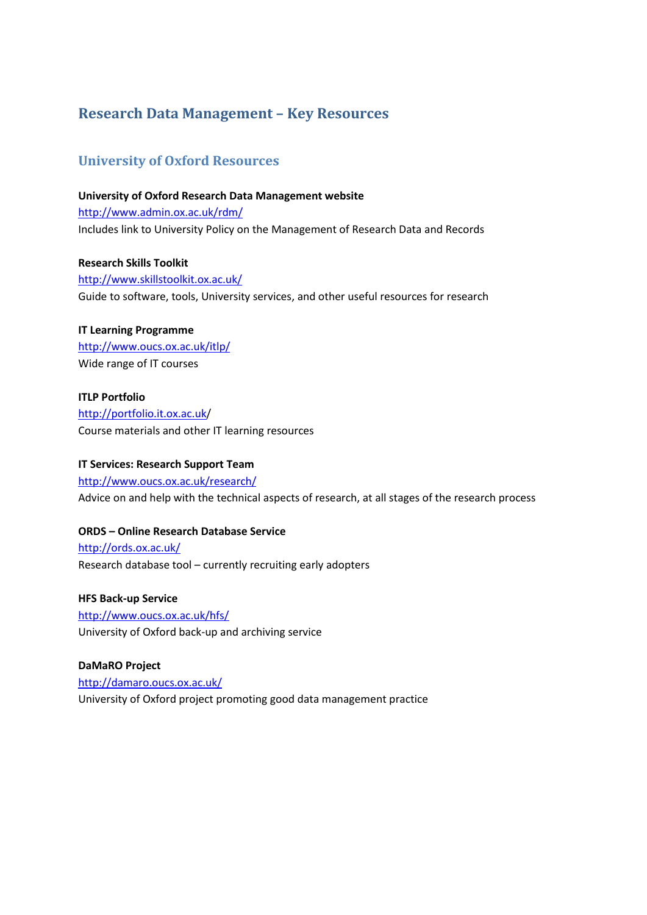# **Research Data Management – Key Resources**

# **University of Oxford Resources**

#### **University of Oxford Research Data Management website**

<http://www.admin.ox.ac.uk/rdm/> Includes link to University Policy on the Management of Research Data and Records

#### **Research Skills Toolkit**

<http://www.skillstoolkit.ox.ac.uk/> Guide to software, tools, University services, and other useful resources for research

## **IT Learning Programme**

<http://www.oucs.ox.ac.uk/itlp/> Wide range of IT courses

## **ITLP Portfolio**

<http://portfolio.it.ox.ac.uk/> Course materials and other IT learning resources

## **IT Services: Research Support Team**

<http://www.oucs.ox.ac.uk/research/> Advice on and help with the technical aspects of research, at all stages of the research process

## **ORDS – Online Research Database Service**

<http://ords.ox.ac.uk/> Research database tool – currently recruiting early adopters

#### **HFS Back-up Service**

<http://www.oucs.ox.ac.uk/hfs/> University of Oxford back-up and archiving service

#### **DaMaRO Project**

<http://damaro.oucs.ox.ac.uk/> University of Oxford project promoting good data management practice